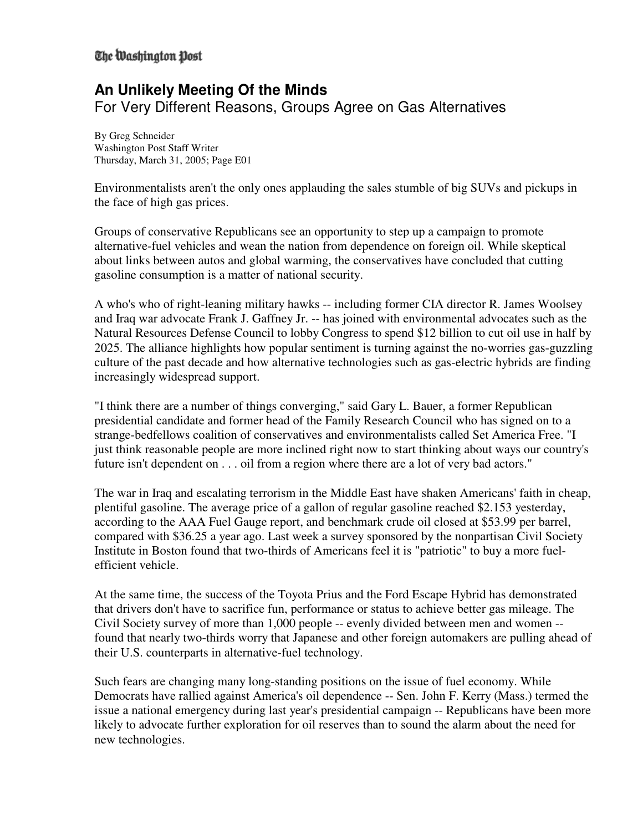## **An Unlikely Meeting Of the Minds** For Very Different Reasons, Groups Agree on Gas Alternatives

By Greg Schneider Washington Post Staff Writer Thursday, March 31, 2005; Page E01

Environmentalists aren't the only ones applauding the sales stumble of big SUVs and pickups in the face of high gas prices.

Groups of conservative Republicans see an opportunity to step up a campaign to promote alternative-fuel vehicles and wean the nation from dependence on foreign oil. While skeptical about links between autos and global warming, the conservatives have concluded that cutting gasoline consumption is a matter of national security.

A who's who of right-leaning military hawks -- including former CIA director R. James Woolsey and Iraq war advocate Frank J. Gaffney Jr. -- has joined with environmental advocates such as the Natural Resources Defense Council to lobby Congress to spend \$12 billion to cut oil use in half by 2025. The alliance highlights how popular sentiment is turning against the no-worries gas-guzzling culture of the past decade and how alternative technologies such as gas-electric hybrids are finding increasingly widespread support.

"I think there are a number of things converging," said Gary L. Bauer, a former Republican presidential candidate and former head of the Family Research Council who has signed on to a strange-bedfellows coalition of conservatives and environmentalists called Set America Free. "I just think reasonable people are more inclined right now to start thinking about ways our country's future isn't dependent on . . . oil from a region where there are a lot of very bad actors."

The war in Iraq and escalating terrorism in the Middle East have shaken Americans' faith in cheap, plentiful gasoline. The average price of a gallon of regular gasoline reached \$2.153 yesterday, according to the AAA Fuel Gauge report, and benchmark crude oil closed at \$53.99 per barrel, compared with \$36.25 a year ago. Last week a survey sponsored by the nonpartisan Civil Society Institute in Boston found that two-thirds of Americans feel it is "patriotic" to buy a more fuelefficient vehicle.

At the same time, the success of the Toyota Prius and the Ford Escape Hybrid has demonstrated that drivers don't have to sacrifice fun, performance or status to achieve better gas mileage. The Civil Society survey of more than 1,000 people -- evenly divided between men and women - found that nearly two-thirds worry that Japanese and other foreign automakers are pulling ahead of their U.S. counterparts in alternative-fuel technology.

Such fears are changing many long-standing positions on the issue of fuel economy. While Democrats have rallied against America's oil dependence -- Sen. John F. Kerry (Mass.) termed the issue a national emergency during last year's presidential campaign -- Republicans have been more likely to advocate further exploration for oil reserves than to sound the alarm about the need for new technologies.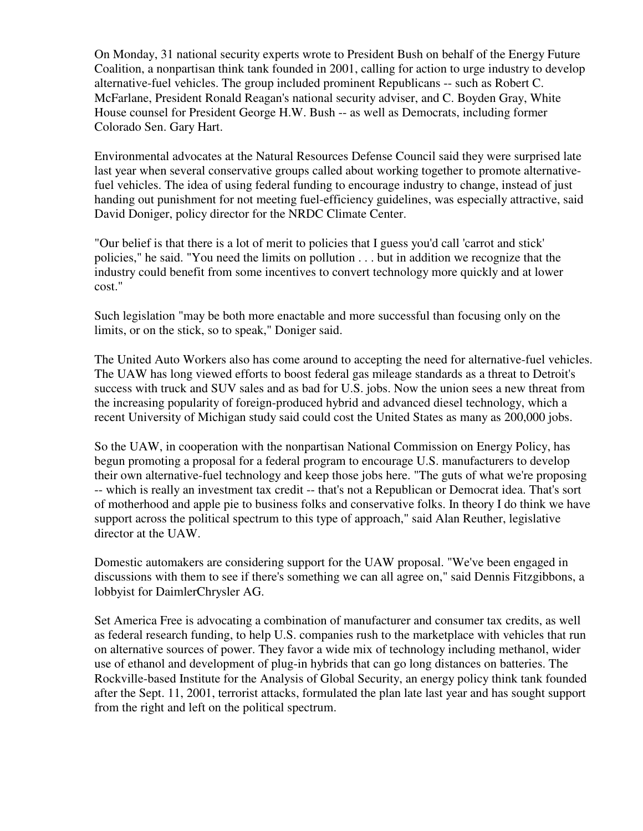On Monday, 31 national security experts wrote to President Bush on behalf of the Energy Future Coalition, a nonpartisan think tank founded in 2001, calling for action to urge industry to develop alternative-fuel vehicles. The group included prominent Republicans -- such as Robert C. McFarlane, President Ronald Reagan's national security adviser, and C. Boyden Gray, White House counsel for President George H.W. Bush -- as well as Democrats, including former Colorado Sen. Gary Hart.

Environmental advocates at the Natural Resources Defense Council said they were surprised late last year when several conservative groups called about working together to promote alternativefuel vehicles. The idea of using federal funding to encourage industry to change, instead of just handing out punishment for not meeting fuel-efficiency guidelines, was especially attractive, said David Doniger, policy director for the NRDC Climate Center.

"Our belief is that there is a lot of merit to policies that I guess you'd call 'carrot and stick' policies," he said. "You need the limits on pollution . . . but in addition we recognize that the industry could benefit from some incentives to convert technology more quickly and at lower cost."

Such legislation "may be both more enactable and more successful than focusing only on the limits, or on the stick, so to speak," Doniger said.

The United Auto Workers also has come around to accepting the need for alternative-fuel vehicles. The UAW has long viewed efforts to boost federal gas mileage standards as a threat to Detroit's success with truck and SUV sales and as bad for U.S. jobs. Now the union sees a new threat from the increasing popularity of foreign-produced hybrid and advanced diesel technology, which a recent University of Michigan study said could cost the United States as many as 200,000 jobs.

So the UAW, in cooperation with the nonpartisan National Commission on Energy Policy, has begun promoting a proposal for a federal program to encourage U.S. manufacturers to develop their own alternative-fuel technology and keep those jobs here. "The guts of what we're proposing -- which is really an investment tax credit -- that's not a Republican or Democrat idea. That's sort of motherhood and apple pie to business folks and conservative folks. In theory I do think we have support across the political spectrum to this type of approach," said Alan Reuther, legislative director at the UAW.

Domestic automakers are considering support for the UAW proposal. "We've been engaged in discussions with them to see if there's something we can all agree on," said Dennis Fitzgibbons, a lobbyist for DaimlerChrysler AG.

Set America Free is advocating a combination of manufacturer and consumer tax credits, as well as federal research funding, to help U.S. companies rush to the marketplace with vehicles that run on alternative sources of power. They favor a wide mix of technology including methanol, wider use of ethanol and development of plug-in hybrids that can go long distances on batteries. The Rockville-based Institute for the Analysis of Global Security, an energy policy think tank founded after the Sept. 11, 2001, terrorist attacks, formulated the plan late last year and has sought support from the right and left on the political spectrum.